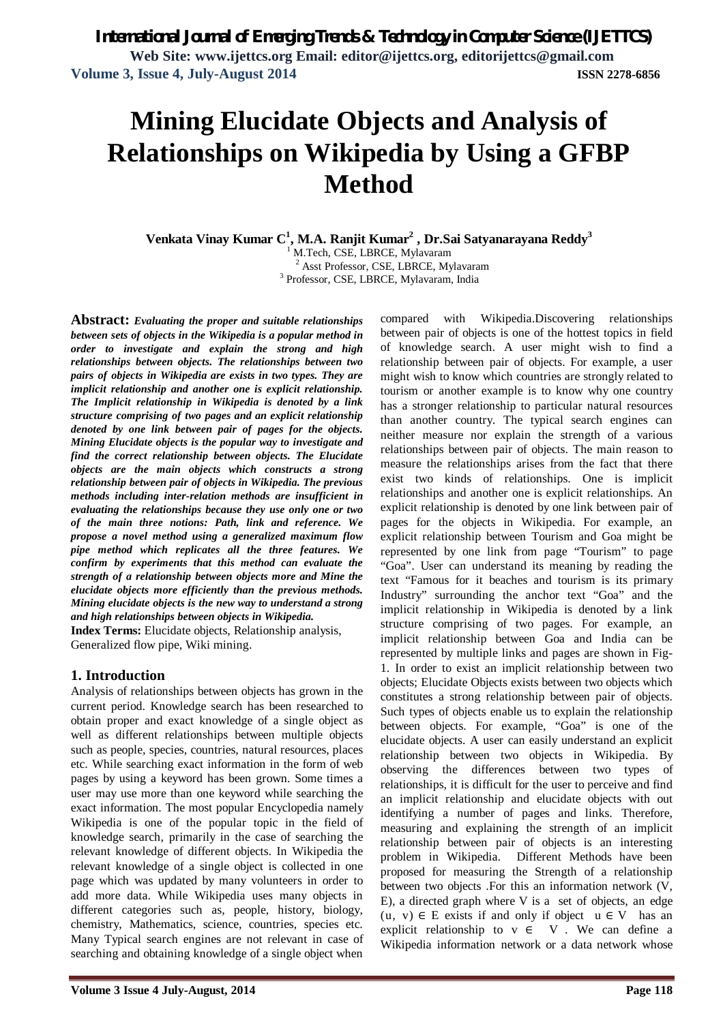# **Mining Elucidate Objects and Analysis of Relationships on Wikipedia by Using a GFBP Method**

**Venkata Vinay Kumar C 1 , M.A. Ranjit Kumar<sup>2</sup> , Dr.Sai Satyanarayana Reddy<sup>3</sup>** M.Tech, CSE, LBRCE, Mylavaram <sup>2</sup> Asst Professor, CSE, LBRCE, Mylavaram 3 Professor, CSE, LBRCE, Mylavaram, India

**Abstract:** *Evaluating the proper and suitable relationships between sets of objects in the Wikipedia is a popular method in order to investigate and explain the strong and high relationships between objects. The relationships between two pairs of objects in Wikipedia are exists in two types. They are implicit relationship and another one is explicit relationship. The Implicit relationship in Wikipedia is denoted by a link structure comprising of two pages and an explicit relationship denoted by one link between pair of pages for the objects. Mining Elucidate objects is the popular way to investigate and find the correct relationship between objects. The Elucidate objects are the main objects which constructs a strong relationship between pair of objects in Wikipedia. The previous methods including inter-relation methods are insufficient in evaluating the relationships because they use only one or two of the main three notions: Path, link and reference. We propose a novel method using a generalized maximum flow pipe method which replicates all the three features. We confirm by experiments that this method can evaluate the strength of a relationship between objects more and Mine the elucidate objects more efficiently than the previous methods. Mining elucidate objects is the new way to understand a strong and high relationships between objects in Wikipedia.* 

**Index Terms:** Elucidate objects, Relationship analysis, Generalized flow pipe, Wiki mining.

### **1. Introduction**

Analysis of relationships between objects has grown in the current period. Knowledge search has been researched to obtain proper and exact knowledge of a single object as well as different relationships between multiple objects such as people, species, countries, natural resources, places etc. While searching exact information in the form of web pages by using a keyword has been grown. Some times a user may use more than one keyword while searching the exact information. The most popular Encyclopedia namely Wikipedia is one of the popular topic in the field of knowledge search, primarily in the case of searching the relevant knowledge of different objects. In Wikipedia the relevant knowledge of a single object is collected in one page which was updated by many volunteers in order to add more data. While Wikipedia uses many objects in different categories such as, people, history, biology, chemistry, Mathematics, science, countries, species etc. Many Typical search engines are not relevant in case of searching and obtaining knowledge of a single object when

compared with Wikipedia.Discovering relationships between pair of objects is one of the hottest topics in field of knowledge search. A user might wish to find a relationship between pair of objects. For example, a user might wish to know which countries are strongly related to tourism or another example is to know why one country has a stronger relationship to particular natural resources than another country. The typical search engines can neither measure nor explain the strength of a various relationships between pair of objects. The main reason to measure the relationships arises from the fact that there exist two kinds of relationships. One is implicit relationships and another one is explicit relationships. An explicit relationship is denoted by one link between pair of pages for the objects in Wikipedia. For example, an explicit relationship between Tourism and Goa might be represented by one link from page "Tourism" to page "Goa". User can understand its meaning by reading the text "Famous for it beaches and tourism is its primary Industry" surrounding the anchor text "Goa" and the implicit relationship in Wikipedia is denoted by a link structure comprising of two pages. For example, an implicit relationship between Goa and India can be represented by multiple links and pages are shown in Fig-1. In order to exist an implicit relationship between two objects; Elucidate Objects exists between two objects which constitutes a strong relationship between pair of objects. Such types of objects enable us to explain the relationship between objects. For example, "Goa" is one of the elucidate objects. A user can easily understand an explicit relationship between two objects in Wikipedia. By observing the differences between two types of relationships, it is difficult for the user to perceive and find an implicit relationship and elucidate objects with out identifying a number of pages and links. Therefore, measuring and explaining the strength of an implicit relationship between pair of objects is an interesting problem in Wikipedia. Different Methods have been proposed for measuring the Strength of a relationship between two objects .For this an information network (V, E), a directed graph where V is a set of objects, an edge  $(u, v) \in E$  exists if and only if object  $u \in V$  has an explicit relationship to  $v \in V$ . We can define a Wikipedia information network or a data network whose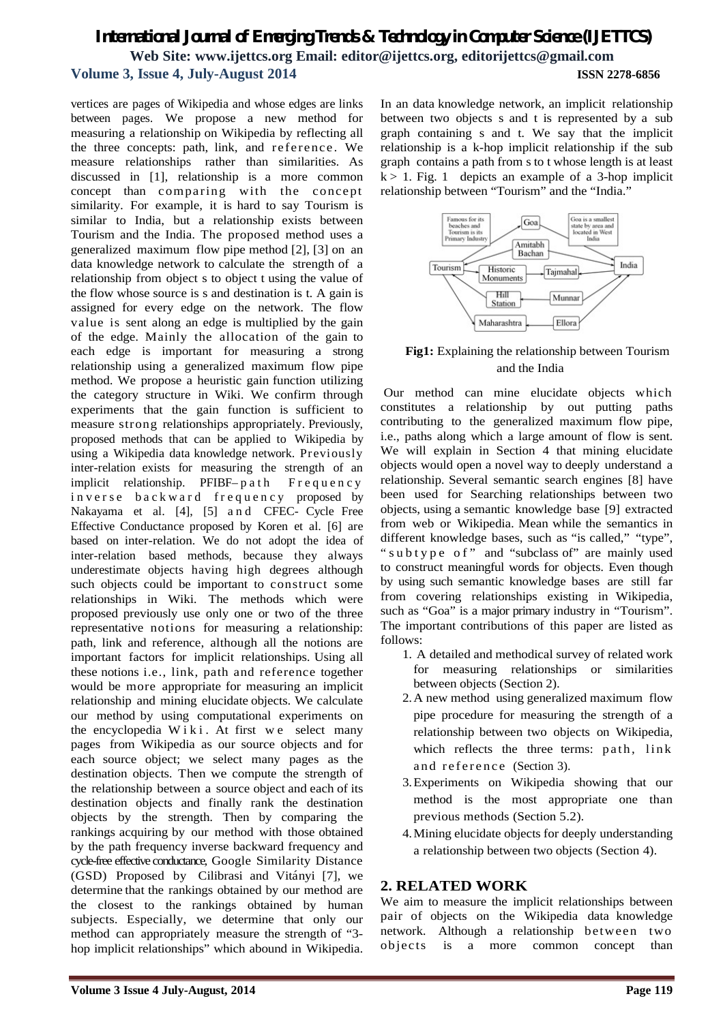vertices are pages of Wikipedia and whose edges are links between pages. We propose a new method for measuring a relationship on Wikipedia by reflecting all the three concepts: path, link, and reference . We measure relationships rather than similarities. As discussed in [1], relationship is a more common concept than comparing with the concept similarity. For example, it is hard to say Tourism is similar to India, but a relationship exists between Tourism and the India. The proposed method uses a generalized maximum flow pipe method [2], [3] on an data knowledge network to calculate the strength of a relationship from object s to object t using the value of the flow whose source is s and destination is t. A gain is assigned for every edge on the network. The flow value is sent along an edge is multiplied by the gain of the edge. Mainly the allocation of the gain to each edge is important for measuring a strong relationship using a generalized maximum flow pipe method. We propose a heuristic gain function utilizing the category structure in Wiki. We confirm through experiments that the gain function is sufficient to measure strong relationships appropriately. Previously, proposed methods that can be applied to Wikipedia by using a Wikipedia data knowledge network. Previously inter-relation exists for measuring the strength of an implicit relationship. PFIBF-path Frequency inverse backward frequency proposed by Nakayama et al. [4], [5] a n d CFEC- Cycle Free Effective Conductance proposed by Koren et al. [6] are based on inter-relation. We do not adopt the idea of inter-relation based methods, because they always underestimate objects having high degrees although such objects could be important to construct some relationships in Wiki. The methods which were proposed previously use only one or two of the three representative notions for measuring a relationship: path, link and reference, although all the notions are important factors for implicit relationships. Using all these notions i.e., link, path and reference together would be more appropriate for measuring an implicit relationship and mining elucidate objects. We calculate our method by using computational experiments on the encyclopedia Wiki. At first we select many pages from Wikipedia as our source objects and for each source object; we select many pages as the destination objects. Then we compute the strength of the relationship between a source object and each of its destination objects and finally rank the destination objects by the strength. Then by comparing the rankings acquiring by our method with those obtained by the path frequency inverse backward frequency and cycle-free effective conductance, Google Similarity Distance (GSD) Proposed by Cilibrasi and Vitányi [7], we determine that the rankings obtained by our method are the closest to the rankings obtained by human subjects. Especially, we determine that only our method can appropriately measure the strength of "3 hop implicit relationships" which abound in Wikipedia.

In an data knowledge network, an implicit relationship between two objects s and t is represented by a sub graph containing s and t. We say that the implicit relationship is a k-hop implicit relationship if the sub graph contains a path from s to t whose length is at least  $k > 1$ . Fig. 1 depicts an example of a 3-hop implicit relationship between "Tourism" and the "India."



### **Fig1:** Explaining the relationship between Tourism and the India

Our method can mine elucidate objects which constitutes a relationship by out putting paths contributing to the generalized maximum flow pipe, i.e., paths along which a large amount of flow is sent. We will explain in Section 4 that mining elucidate objects would open a novel way to deeply understand a relationship. Several semantic search engines [8] have been used for Searching relationships between two objects, using a semantic knowledge base [9] extracted from web or Wikipedia. Mean while the semantics in different knowledge bases, such as "is called," "type", " subtype of" and "subclass of" are mainly used to construct meaningful words for objects. Even though by using such semantic knowledge bases are still far from covering relationships existing in Wikipedia, such as "Goa" is a major primary industry in "Tourism". The important contributions of this paper are listed as follows:

- 1. A detailed and methodical survey of related work for measuring relationships or similarities between objects (Section 2).
- 2.A new method using generalized maximum flow pipe procedure for measuring the strength of a relationship between two objects on Wikipedia, which reflects the three terms: path, link and reference (Section 3).
- 3.Experiments on Wikipedia showing that our method is the most appropriate one than previous methods (Section 5.2).
- 4.Mining elucidate objects for deeply understanding a relationship between two objects (Section 4).

### **2. RELATED WORK**

We aim to measure the implicit relationships between pair of objects on the Wikipedia data knowledge network. Although a relationship between two objects is a more common concept than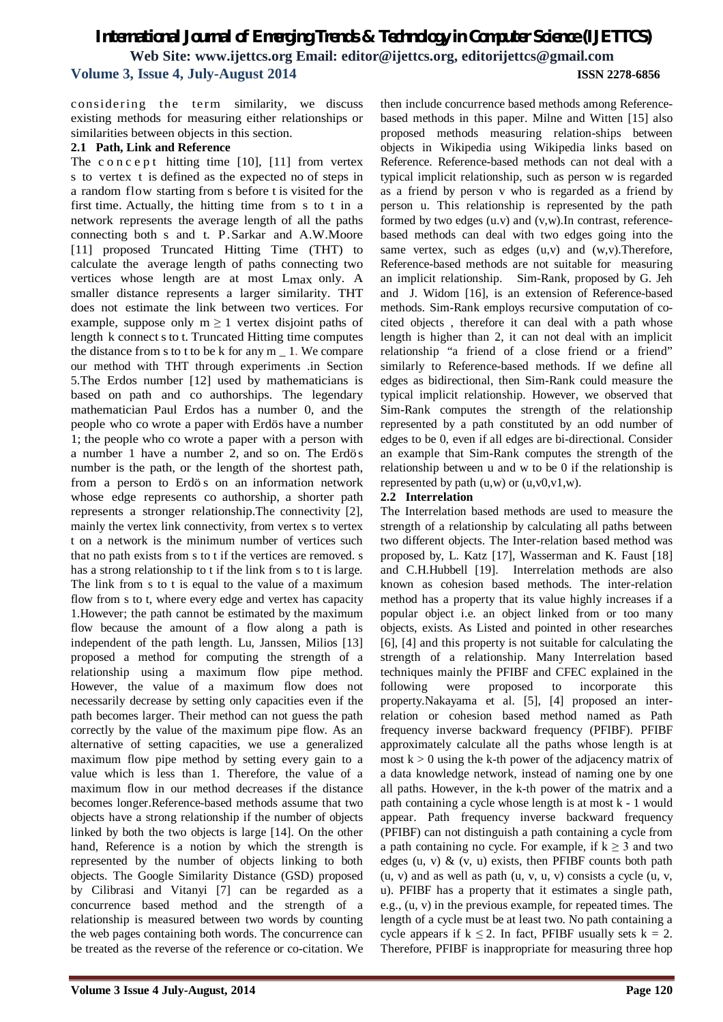considering the term similarity, we discuss existing methods for measuring either relationships or similarities between objects in this section.

### **2.1 Path, Link and Reference**

The c o n c e p t hitting time  $[10]$ ,  $[11]$  from vertex s to vertex t is defined as the expected no of steps in a random flow starting from s before t is visited for the first time. Actually, the hitting time from s to t in a network represents the average length of all the paths connecting both s and t. P.Sarkar and A.W.Moore [11] proposed Truncated Hitting Time (THT) to calculate the average length of paths connecting two vertices whose length are at most Lmax only. A smaller distance represents a larger similarity. THT does not estimate the link between two vertices. For example, suppose only  $m \geq 1$  vertex disjoint paths of length k connect sto t. Truncated Hitting time computes the distance from s to t to be k for any  $m_1$ . We compare our method with THT through experiments .in Section 5.The Erdos number [12] used by mathematicians is based on path and co authorships. The legendary mathematician Paul Erdos has a number 0, and the people who co wrote a paper with Erdös have a number 1; the people who co wrote a paper with a person with a number 1 have a number 2, and so on. The Erdös number is the path, or the length of the shortest path, from a person to Erdö s on an information network whose edge represents co authorship, a shorter path represents a stronger relationship.The connectivity [2], mainly the vertex link connectivity, from vertex s to vertex t on a network is the minimum number of vertices such that no path exists from s to t if the vertices are removed. s has a strong relationship to t if the link from s to t is large. The link from s to t is equal to the value of a maximum flow from s to t, where every edge and vertex has capacity 1.However; the path cannot be estimated by the maximum flow because the amount of a flow along a path is independent of the path length. Lu, Janssen, Milios [13] proposed a method for computing the strength of a relationship using a maximum flow pipe method. However, the value of a maximum flow does not necessarily decrease by setting only capacities even if the path becomes larger. Their method can not guess the path correctly by the value of the maximum pipe flow. As an alternative of setting capacities, we use a generalized maximum flow pipe method by setting every gain to a value which is less than 1. Therefore, the value of a maximum flow in our method decreases if the distance becomes longer.Reference-based methods assume that two objects have a strong relationship if the number of objects linked by both the two objects is large [14]. On the other hand, Reference is a notion by which the strength is represented by the number of objects linking to both objects. The Google Similarity Distance (GSD) proposed by Cilibrasi and Vitanyi [7] can be regarded as a concurrence based method and the strength of a relationship is measured between two words by counting the web pages containing both words. The concurrence can be treated as the reverse of the reference or co-citation. We

then include concurrence based methods among Referencebased methods in this paper. Milne and Witten [15] also proposed methods measuring relation-ships between objects in Wikipedia using Wikipedia links based on Reference. Reference-based methods can not deal with a typical implicit relationship, such as person w is regarded as a friend by person v who is regarded as a friend by person u. This relationship is represented by the path formed by two edges (u.v) and (v,w).In contrast, referencebased methods can deal with two edges going into the same vertex, such as edges (u,v) and (w,v).Therefore, Reference-based methods are not suitable for measuring an implicit relationship. Sim-Rank, proposed by G. Jeh and J. Widom [16], is an extension of Reference-based methods. Sim-Rank employs recursive computation of cocited objects , therefore it can deal with a path whose length is higher than 2, it can not deal with an implicit relationship "a friend of a close friend or a friend" similarly to Reference-based methods. If we define all edges as bidirectional, then Sim-Rank could measure the typical implicit relationship. However, we observed that Sim-Rank computes the strength of the relationship represented by a path constituted by an odd number of edges to be 0, even if all edges are bi-directional. Consider an example that Sim-Rank computes the strength of the relationship between u and w to be 0 if the relationship is represented by path  $(u, w)$  or  $(u, v0, v1, w)$ .

### **2.2 Interrelation**

The Interrelation based methods are used to measure the strength of a relationship by calculating all paths between two different objects. The Inter-relation based method was proposed by, L. Katz [17], Wasserman and K. Faust [18] and C.H.Hubbell [19]. Interrelation methods are also known as cohesion based methods. The inter-relation method has a property that its value highly increases if a popular object i.e. an object linked from or too many objects, exists. As Listed and pointed in other researches [6], [4] and this property is not suitable for calculating the strength of a relationship. Many Interrelation based techniques mainly the PFIBF and CFEC explained in the following were proposed to incorporate this property.Nakayama et al. [5], [4] proposed an interrelation or cohesion based method named as Path frequency inverse backward frequency (PFIBF). PFIBF approximately calculate all the paths whose length is at most  $k > 0$  using the k-th power of the adjacency matrix of a data knowledge network, instead of naming one by one all paths. However, in the k-th power of the matrix and a path containing a cycle whose length is at most k - 1 would appear. Path frequency inverse backward frequency (PFIBF) can not distinguish a path containing a cycle from a path containing no cycle. For example, if  $k \geq 3$  and two edges (u, v)  $\&$  (v, u) exists, then PFIBF counts both path  $(u, v)$  and as well as path  $(u, v, u, v)$  consists a cycle  $(u, v, v)$ u). PFIBF has a property that it estimates a single path, e.g., (u, v) in the previous example, for repeated times. The length of a cycle must be at least two. No path containing a cycle appears if  $k \le 2$ . In fact, PFIBF usually sets  $k = 2$ . Therefore, PFIBF is inappropriate for measuring three hop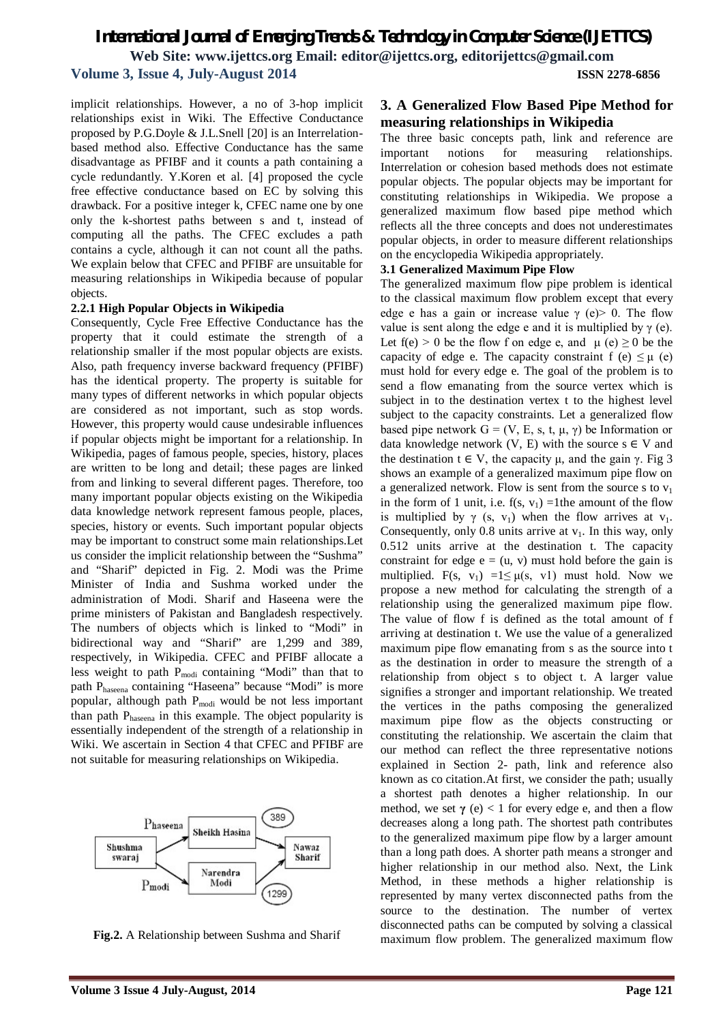implicit relationships. However, a no of 3-hop implicit relationships exist in Wiki. The Effective Conductance proposed by P.G.Doyle & J.L.Snell [20] is an Interrelationbased method also. Effective Conductance has the same disadvantage as PFIBF and it counts a path containing a cycle redundantly. Y.Koren et al. [4] proposed the cycle free effective conductance based on EC by solving this drawback. For a positive integer k, CFEC name one by one only the k-shortest paths between s and t, instead of computing all the paths. The CFEC excludes a path contains a cycle, although it can not count all the paths. We explain below that CFEC and PFIBF are unsuitable for measuring relationships in Wikipedia because of popular objects.

### **2.2.1 High Popular Objects in Wikipedia**

Consequently, Cycle Free Effective Conductance has the property that it could estimate the strength of a relationship smaller if the most popular objects are exists. Also, path frequency inverse backward frequency (PFIBF) has the identical property. The property is suitable for many types of different networks in which popular objects are considered as not important, such as stop words. However, this property would cause undesirable influences if popular objects might be important for a relationship. In Wikipedia, pages of famous people, species, history, places are written to be long and detail; these pages are linked from and linking to several different pages. Therefore, too many important popular objects existing on the Wikipedia data knowledge network represent famous people, places, species, history or events. Such important popular objects may be important to construct some main relationships.Let us consider the implicit relationship between the "Sushma" and "Sharif" depicted in Fig. 2. Modi was the Prime Minister of India and Sushma worked under the administration of Modi. Sharif and Haseena were the prime ministers of Pakistan and Bangladesh respectively. The numbers of objects which is linked to "Modi" in bidirectional way and "Sharif" are 1,299 and 389, respectively, in Wikipedia. CFEC and PFIBF allocate a less weight to path P<sub>modi</sub> containing "Modi" than that to path Phaseena containing "Haseena" because "Modi" is more popular, although path  $P_{\text{modi}}$  would be not less important than path Phaseena in this example. The object popularity is essentially independent of the strength of a relationship in Wiki. We ascertain in Section 4 that CFEC and PFIBF are not suitable for measuring relationships on Wikipedia.



**Fig.2.** A Relationship between Sushma and Sharif

### **3. A Generalized Flow Based Pipe Method for measuring relationships in Wikipedia**

The three basic concepts path, link and reference are important notions for measuring relationships. Interrelation or cohesion based methods does not estimate popular objects. The popular objects may be important for constituting relationships in Wikipedia. We propose a generalized maximum flow based pipe method which reflects all the three concepts and does not underestimates popular objects, in order to measure different relationships on the encyclopedia Wikipedia appropriately.

### **3.1 Generalized Maximum Pipe Flow**

The generalized maximum flow pipe problem is identical to the classical maximum flow problem except that every edge e has a gain or increase value  $\gamma$  (e) is 0. The flow value is sent along the edge e and it is multiplied by  $\gamma$  (e). Let  $f(e) > 0$  be the flow f on edge e, and  $\mu(e) \ge 0$  be the capacity of edge e. The capacity constraint f (e)  $\leq \mu$  (e) must hold for every edge e. The goal of the problem is to send a flow emanating from the source vertex which is subject in to the destination vertex t to the highest level subject to the capacity constraints. Let a generalized flow based pipe network  $G = (V, E, s, t, \mu, \gamma)$  be Information or data knowledge network  $(V, E)$  with the source  $s \in V$  and the destination  $t \in V$ , the capacity  $\mu$ , and the gain  $\gamma$ . Fig 3 shows an example of a generalized maximum pipe flow on a generalized network. Flow is sent from the source s to  $v_1$ in the form of 1 unit, i.e.  $f(s, v_1) = 1$ the amount of the flow is multiplied by  $\gamma$  (s, v<sub>1</sub>) when the flow arrives at v<sub>1</sub>. Consequently, only 0.8 units arrive at  $v_1$ . In this way, only 0.512 units arrive at the destination t. The capacity constraint for edge  $e = (u, v)$  must hold before the gain is multiplied. F(s, v<sub>1</sub>) =1 $\leq \mu$ (s, v1) must hold. Now we propose a new method for calculating the strength of a relationship using the generalized maximum pipe flow. The value of flow f is defined as the total amount of f arriving at destination t. We use the value of a generalized maximum pipe flow emanating from s as the source into t as the destination in order to measure the strength of a relationship from object s to object t. A larger value signifies a stronger and important relationship. We treated the vertices in the paths composing the generalized maximum pipe flow as the objects constructing or constituting the relationship. We ascertain the claim that our method can reflect the three representative notions explained in Section 2- path, link and reference also known as co citation.At first, we consider the path; usually a shortest path denotes a higher relationship. In our method, we set  $\gamma$  (e) < 1 for every edge e, and then a flow decreases along a long path. The shortest path contributes to the generalized maximum pipe flow by a larger amount than a long path does. A shorter path means a stronger and higher relationship in our method also. Next, the Link Method, in these methods a higher relationship is represented by many vertex disconnected paths from the source to the destination. The number of vertex disconnected paths can be computed by solving a classical maximum flow problem. The generalized maximum flow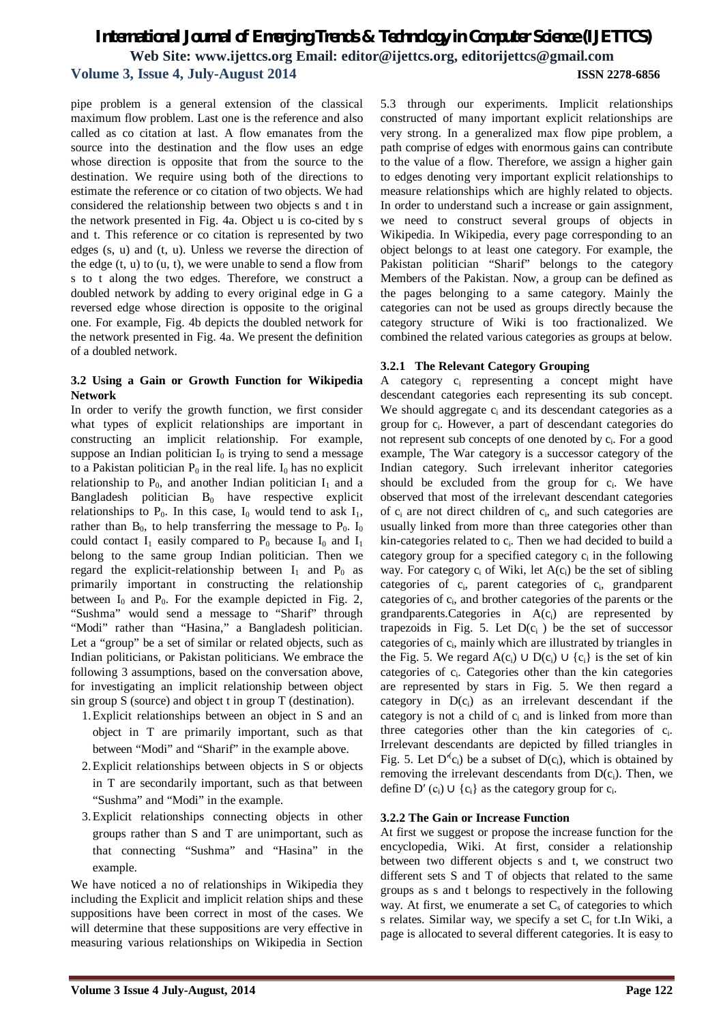pipe problem is a general extension of the classical maximum flow problem. Last one is the reference and also called as co citation at last. A flow emanates from the source into the destination and the flow uses an edge whose direction is opposite that from the source to the destination. We require using both of the directions to estimate the reference or co citation of two objects. We had considered the relationship between two objects s and t in the network presented in Fig. 4a. Object u is co-cited by s and t. This reference or co citation is represented by two edges (s, u) and (t, u). Unless we reverse the direction of the edge (t, u) to (u, t), we were unable to send a flow from s to t along the two edges. Therefore, we construct a doubled network by adding to every original edge in G a reversed edge whose direction is opposite to the original one. For example, Fig. 4b depicts the doubled network for the network presented in Fig. 4a. We present the definition of a doubled network.

### **3.2 Using a Gain or Growth Function for Wikipedia Network**

In order to verify the growth function, we first consider what types of explicit relationships are important in constructing an implicit relationship. For example, suppose an Indian politician  $I_0$  is trying to send a message to a Pakistan politician  $P_0$  in the real life.  $I_0$  has no explicit relationship to  $P_0$ , and another Indian politician  $I_1$  and a Bangladesh politician  $B_0$  have respective explicit relationships to  $P_0$ . In this case,  $I_0$  would tend to ask  $I_1$ , rather than  $B_0$ , to help transferring the message to  $P_0$ . I<sub>0</sub> could contact  $I_1$  easily compared to  $P_0$  because  $I_0$  and  $I_1$ belong to the same group Indian politician. Then we regard the explicit-relationship between  $I_1$  and  $P_0$  as primarily important in constructing the relationship between  $I_0$  and  $P_0$ . For the example depicted in Fig. 2, "Sushma" would send a message to "Sharif" through "Modi" rather than "Hasina," a Bangladesh politician. Let a "group" be a set of similar or related objects, such as Indian politicians, or Pakistan politicians. We embrace the following 3 assumptions, based on the conversation above, for investigating an implicit relationship between object sin group S (source) and object t in group T (destination).

- 1.Explicit relationships between an object in S and an object in T are primarily important, such as that between "Modi" and "Sharif" in the example above.
- 2.Explicit relationships between objects in S or objects in T are secondarily important, such as that between "Sushma" and "Modi" in the example.
- 3.Explicit relationships connecting objects in other groups rather than S and T are unimportant, such as that connecting "Sushma" and "Hasina" in the example.

We have noticed a no of relationships in Wikipedia they including the Explicit and implicit relation ships and these suppositions have been correct in most of the cases. We will determine that these suppositions are very effective in measuring various relationships on Wikipedia in Section

5.3 through our experiments. Implicit relationships constructed of many important explicit relationships are very strong. In a generalized max flow pipe problem, a path comprise of edges with enormous gains can contribute to the value of a flow. Therefore, we assign a higher gain to edges denoting very important explicit relationships to measure relationships which are highly related to objects. In order to understand such a increase or gain assignment, we need to construct several groups of objects in Wikipedia. In Wikipedia, every page corresponding to an object belongs to at least one category. For example, the Pakistan politician "Sharif" belongs to the category Members of the Pakistan. Now, a group can be defined as the pages belonging to a same category. Mainly the categories can not be used as groups directly because the category structure of Wiki is too fractionalized. We combined the related various categories as groups at below.

### **3.2.1 The Relevant Category Grouping**

A category c<sub>i</sub> representing a concept might have descendant categories each representing its sub concept. We should aggregate  $c_i$  and its descendant categories as a group for c<sup>i</sup> . However, a part of descendant categories do not represent sub concepts of one denoted by  $c_i$ . For a good example, The War category is a successor category of the Indian category. Such irrelevant inheritor categories should be excluded from the group for  $c_i$ . We have observed that most of the irrelevant descendant categories of  $c_i$  are not direct children of  $c_i$ , and such categories are usually linked from more than three categories other than kin-categories related to c<sub>i</sub>. Then we had decided to build a category group for a specified category  $c_i$  in the following way. For category  $c_i$  of Wiki, let  $A(c_i)$  be the set of sibling categories of c<sub>i</sub>, parent categories of c<sub>i</sub>, grandparent categories of c<sup>i</sup> , and brother categories of the parents or the grandparents.Categories in A(ci) are represented by trapezoids in Fig. 5. Let  $D(c_i)$  be the set of successor categories of c<sub>i</sub>, mainly which are illustrated by triangles in the Fig. 5. We regard  $A(c_i) \cup D(c_i) \cup \{c_i\}$  is the set of kin categories of c<sub>i</sub>. Categories other than the kin categories are represented by stars in Fig. 5. We then regard a category in  $D(c_i)$  as an irrelevant descendant if the category is not a child of  $c_i$  and is linked from more than three categories other than the kin categories of  $c_i$ . Irrelevant descendants are depicted by filled triangles in Fig. 5. Let  $D^{(c)}(c_i)$  be a subset of  $D(c_i)$ , which is obtained by removing the irrelevant descendants from  $D(c_i)$ . Then, we define  $D'$  (c<sub>i</sub>)  $\cup$  {c<sub>i</sub>} as the category group for c<sub>i</sub>.

### **3.2.2 The Gain or Increase Function**

At first we suggest or propose the increase function for the encyclopedia, Wiki. At first, consider a relationship between two different objects s and t, we construct two different sets S and T of objects that related to the same groups as s and t belongs to respectively in the following way. At first, we enumerate a set  $C_s$  of categories to which s relates. Similar way, we specify a set  $C_t$  for t.In Wiki, a page is allocated to several different categories. It is easy to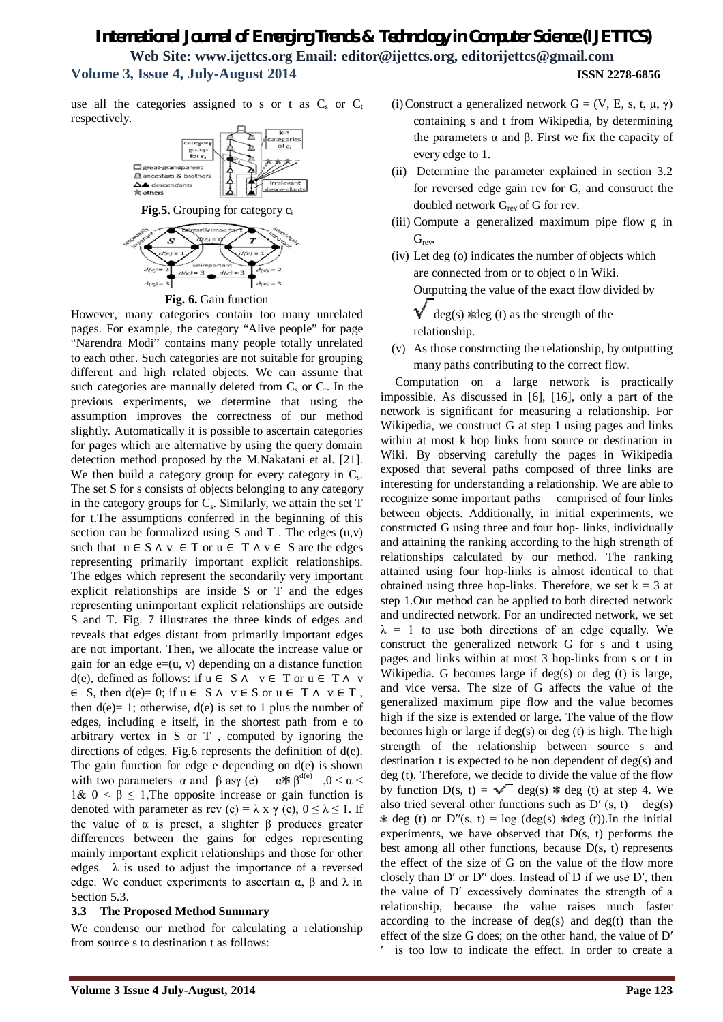use all the categories assigned to s or t as  $C_s$  or  $C_t$ respectively.



**Fig. 6.** Gain function

However, many categories contain too many unrelated pages. For example, the category "Alive people" for page "Narendra Modi" contains many people totally unrelated to each other. Such categories are not suitable for grouping different and high related objects. We can assume that such categories are manually deleted from  $C_s$  or  $C_t$ . In the previous experiments, we determine that using the assumption improves the correctness of our method slightly. Automatically it is possible to ascertain categories for pages which are alternative by using the query domain detection method proposed by the M.Nakatani et al. [21]. We then build a category group for every category in  $C_s$ . The set S for s consists of objects belonging to any category in the category groups for  $C_s$ . Similarly, we attain the set  $T$ for t.The assumptions conferred in the beginning of this section can be formalized using  $S$  and  $T$ . The edges  $(u, v)$ such that  $u \in S \land v \in T$  or  $u \in T \land v \in S$  are the edges representing primarily important explicit relationships. The edges which represent the secondarily very important explicit relationships are inside S or T and the edges representing unimportant explicit relationships are outside S and T. Fig. 7 illustrates the three kinds of edges and reveals that edges distant from primarily important edges are not important. Then, we allocate the increase value or gain for an edge  $e=(u, v)$  depending on a distance function d(e), defined as follows: if  $u \in S \land v \in T$  or  $u \in T \land v$  $\in S$ , then d(e)= 0; if  $u \in S \land v \in S$  or  $u \in T \land v \in T$ , then  $d(e) = 1$ ; otherwise,  $d(e)$  is set to 1 plus the number of edges, including e itself, in the shortest path from e to arbitrary vertex in S or T , computed by ignoring the directions of edges. Fig.6 represents the definition of d(e). The gain function for edge e depending on d(e) is shown with two parameters  $\alpha$  and  $\beta$  asy (e) =  $\alpha \ast \beta^{d(e)}$ , 0 <  $\alpha$  < 1&  $0 < \beta \leq 1$ , The opposite increase or gain function is denoted with parameter as rev (e) =  $\lambda$  x  $\gamma$  (e),  $0 \le \lambda \le 1$ . If the value of  $α$  is preset, a slighter  $β$  produces greater differences between the gains for edges representing mainly important explicit relationships and those for other edges.  $\lambda$  is used to adjust the importance of a reversed edge. We conduct experiments to ascertain  $\alpha$ , β and λ in Section 5.3.

### **3.3 The Proposed Method Summary**

We condense our method for calculating a relationship from source s to destination t as follows:

- (i) Construct a generalized network  $G = (V, E, s, t, \mu, \gamma)$ containing s and t from Wikipedia, by determining the parameters  $\alpha$  and  $\beta$ . First we fix the capacity of every edge to 1.
- (ii) Determine the parameter explained in section 3.2 for reversed edge gain rev for G, and construct the doubled network  $G_{rev}$  of G for rev.
- (iii) Compute a generalized maximum pipe flow g in G<sub>rev</sub>.
- (iv) Let deg (o) indicates the number of objects which are connected from or to object o in Wiki.

Outputting the value of the exact flow divided by

 $\sqrt{\phantom{a}}$  deg(s) \*deg (t) as the strength of the relationship.

(v) As those constructing the relationship, by outputting many paths contributing to the correct flow.

Computation on a large network is practically impossible. As discussed in [6], [16], only a part of the network is significant for measuring a relationship. For Wikipedia, we construct G at step 1 using pages and links within at most k hop links from source or destination in Wiki. By observing carefully the pages in Wikipedia exposed that several paths composed of three links are interesting for understanding a relationship. We are able to recognize some important paths comprised of four links between objects. Additionally, in initial experiments, we constructed G using three and four hop- links, individually and attaining the ranking according to the high strength of relationships calculated by our method. The ranking attained using four hop-links is almost identical to that obtained using three hop-links. Therefore, we set  $k = 3$  at step 1.Our method can be applied to both directed network and undirected network. For an undirected network, we set  $\lambda$  = 1 to use both directions of an edge equally. We construct the generalized network G for s and t using pages and links within at most 3 hop-links from s or t in Wikipedia. G becomes large if deg(s) or deg (t) is large, and vice versa. The size of G affects the value of the generalized maximum pipe flow and the value becomes high if the size is extended or large. The value of the flow becomes high or large if deg(s) or deg (t) is high. The high strength of the relationship between source s and destination t is expected to be non dependent of deg(s) and deg (t). Therefore, we decide to divide the value of the flow by function  $D(s, t) = \sqrt{\phantom{a}} \deg(s)$   $\ast$  deg (t) at step 4. We also tried several other functions such as  $D'(s, t) = deg(s)$  $\ast$  deg (t) or D''(s, t) = log (deg(s)  $\ast$ deg (t)).In the initial experiments, we have observed that  $D(s, t)$  performs the best among all other functions, because D(s, t) represents the effect of the size of G on the value of the flow more closely than D' or D" does. Instead of D if we use D', then the value of D′ excessively dominates the strength of a relationship, because the value raises much faster according to the increase of deg(s) and deg(t) than the effect of the size G does; on the other hand, the value of D′ ′ is too low to indicate the effect. In order to create a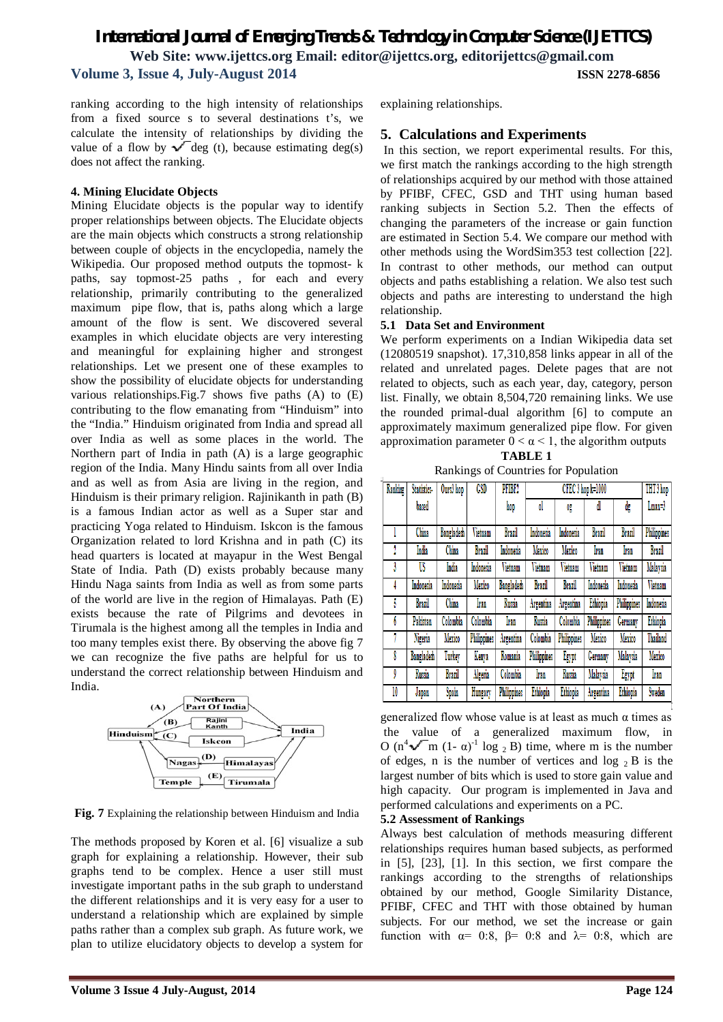ranking according to the high intensity of relationships from a fixed source s to several destinations t's, we calculate the intensity of relationships by dividing the value of a flow by  $\sqrt{\deg}$  (t), because estimating deg(s) does not affect the ranking.

### **4. Mining Elucidate Objects**

Mining Elucidate objects is the popular way to identify proper relationships between objects. The Elucidate objects are the main objects which constructs a strong relationship between couple of objects in the encyclopedia, namely the Wikipedia. Our proposed method outputs the topmost- k paths, say topmost-25 paths , for each and every relationship, primarily contributing to the generalized maximum pipe flow, that is, paths along which a large amount of the flow is sent. We discovered several examples in which elucidate objects are very interesting and meaningful for explaining higher and strongest relationships. Let we present one of these examples to show the possibility of elucidate objects for understanding various relationships.Fig.7 shows five paths (A) to (E) contributing to the flow emanating from "Hinduism" into the "India." Hinduism originated from India and spread all over India as well as some places in the world. The Northern part of India in path (A) is a large geographic region of the India. Many Hindu saints from all over India and as well as from Asia are living in the region, and Hinduism is their primary religion. Rajinikanth in path (B) is a famous Indian actor as well as a Super star and practicing Yoga related to Hinduism. Iskcon is the famous Organization related to lord Krishna and in path (C) its head quarters is located at mayapur in the West Bengal State of India. Path (D) exists probably because many Hindu Naga saints from India as well as from some parts of the world are live in the region of Himalayas. Path (E) exists because the rate of Pilgrims and devotees in Tirumala is the highest among all the temples in India and too many temples exist there. By observing the above fig 7 we can recognize the five paths are helpful for us to understand the correct relationship between Hinduism and India.



**Fig. 7** Explaining the relationship between Hinduism and India

The methods proposed by Koren et al. [6] visualize a sub graph for explaining a relationship. However, their sub graphs tend to be complex. Hence a user still must investigate important paths in the sub graph to understand the different relationships and it is very easy for a user to understand a relationship which are explained by simple paths rather than a complex sub graph. As future work, we plan to utilize elucidatory objects to develop a system for

explaining relationships.

### **5. Calculations and Experiments**

In this section, we report experimental results. For this, we first match the rankings according to the high strength of relationships acquired by our method with those attained by PFIBF, CFEC, GSD and THT using human based ranking subjects in Section 5.2. Then the effects of changing the parameters of the increase or gain function are estimated in Section 5.4. We compare our method with other methods using the WordSim353 test collection [22]. In contrast to other methods, our method can output objects and paths establishing a relation. We also test such objects and paths are interesting to understand the high relationship.

#### **5.1 Data Set and Environment**

We perform experiments on a Indian Wikipedia data set (12080519 snapshot). 17,310,858 links appear in all of the related and unrelated pages. Delete pages that are not related to objects, such as each year, day, category, person list. Finally, we obtain 8,504,720 remaining links. We use the rounded primal-dual algorithm [6] to compute an approximately maximum generalized pipe flow. For given approximation parameter  $0 < \alpha < 1$ , the algorithm outputs

| <b>TABLE 1</b>                       |
|--------------------------------------|
| Rankings of Countries for Population |

| Ranking | Statistics-       | Ours3 hop  | <b>CSD</b>         | PFIBF2             | CFEC 3 hop k=1000 |                    |                    |                    | THT 3 hop          |
|---------|-------------------|------------|--------------------|--------------------|-------------------|--------------------|--------------------|--------------------|--------------------|
|         | based             |            |                    | hop                | <sup>o</sup>      | Og                 | dl                 | dg                 | Lmax=3             |
|         | China             | Bangladesh | Vietnam            | Brazil             | Indonesia         | Indonesia          | Brazil             | Brazil             | <b>Philippines</b> |
|         |                   |            |                    |                    |                   |                    |                    |                    |                    |
|         | India             | China      | Brazil             | Indonesia          | Mexico            | Mexico             | Iran               | Iran               | <b>Brazil</b>      |
|         | US                | India      | Indonesia          | Vietnam            | Vietnam           | Vietnam            | Vietnam            | Vietnam            | Malaysia           |
|         | Indonesia         | Indonesia  | Mexico             | Bangladesh         | Brazil            | Brazil             | Indonesia          | Indonesia          | Vietnam            |
| 5       | Brazil            | China      | Iran               | Russia             | Argentina         | Argentina          | Ethiopia           | <b>Philippines</b> | Indonesia          |
| b       | Pakistan          | Colombia   | Colombia           | Iran               | Russia            | Colombia           | <b>Philippines</b> | Germany            | Ethiopia           |
|         | Nigeria           | Mexico     | <b>Philippines</b> | Argentina          | Colombia          | <b>Philippines</b> | Mexico             | Mexico             | Thailand           |
| 8       | <b>Bangladeth</b> | Turkey     | Kenya              | Romania            | Philippines       | Egypt              | Germany            | Malaysia           | Mexico             |
| 9       | Russia            | Brazil     | Algeria            | Colombia           | Iran              | Russia             | Malaysia           | Egypt              | Iran               |
| 10      | Japan             | Spain      | Hungary            | <b>Philippines</b> | Ethiopia          | Ethiopia           | Argentina          | Ethiopia           | Sweden             |

generalized flow whose value is at least as much  $\alpha$  times as the value of a generalized maximum flow, in O (n<sup>4</sup> $\sqrt{\ }$ m (1-α)<sup>-1</sup> log <sub>2</sub> B) time, where m is the number of edges, n is the number of vertices and  $log_2 B$  is the largest number of bits which is used to store gain value and high capacity. Our program is implemented in Java and performed calculations and experiments on a PC.

#### **5.2 Assessment of Rankings**

Always best calculation of methods measuring different relationships requires human based subjects, as performed in [5], [23], [1]. In this section, we first compare the rankings according to the strengths of relationships obtained by our method, Google Similarity Distance, PFIBF, CFEC and THT with those obtained by human subjects. For our method, we set the increase or gain function with  $\alpha$ = 0:8,  $\beta$ = 0:8 and  $\lambda$ = 0:8, which are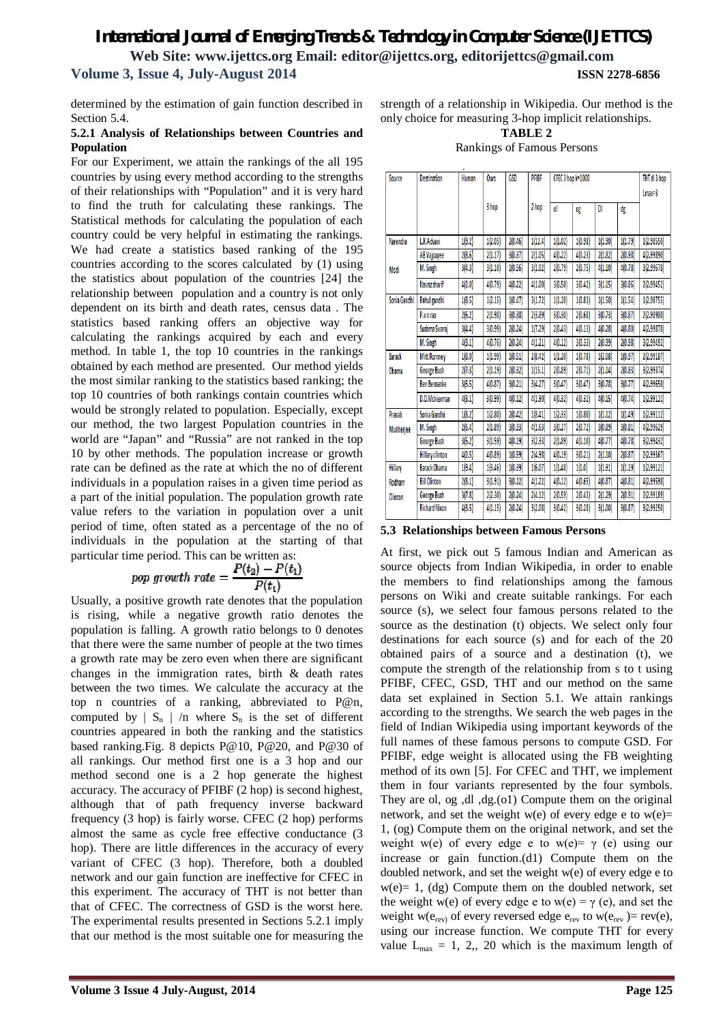determined by the estimation of gain function described in Section 5.4.

#### **5.2.1 Analysis of Relationships between Countries and Population**

For our Experiment, we attain the rankings of the all 195 countries by using every method according to the strengths of their relationships with "Population" and it is very hard to find the truth for calculating these rankings. The Statistical methods for calculating the population of each country could be very helpful in estimating the rankings. We had create a statistics based ranking of the 195 countries according to the scores calculated by (1) using the statistics about population of the countries [24] the relationship between population and a country is not only dependent on its birth and death rates, census data . The statistics based ranking offers an objective way for calculating the rankings acquired by each and every method. In table 1, the top 10 countries in the rankings obtained by each method are presented. Our method yields the most similar ranking to the statistics based ranking; the top 10 countries of both rankings contain countries which would be strongly related to population. Especially, except our method, the two largest Population countries in the world are "Japan" and "Russia" are not ranked in the top 10 by other methods. The population increase or growth rate can be defined as the rate at which the no of different individuals in a population raises in a given time period as a part of the initial population. The population growth rate value refers to the variation in population over a unit period of time, often stated as a percentage of the no of individuals in the population at the starting of that particular time period. This can be written as:

$$
pop\ growth\ rate = \frac{P(t_2) - P(t_1)}{P(t_1)}
$$

Usually, a positive growth rate denotes that the population is rising, while a negative growth ratio denotes the population is falling. A growth ratio belongs to 0 denotes that there were the same number of people at the two times a growth rate may be zero even when there are significant changes in the immigration rates, birth & death rates between the two times. We calculate the accuracy at the top n countries of a ranking, abbreviated to P@n, computed by  $| S_n | /n$  where  $S_n$  is the set of different countries appeared in both the ranking and the statistics based ranking.Fig. 8 depicts P@10, P@20, and P@30 of all rankings. Our method first one is a 3 hop and our method second one is a 2 hop generate the highest accuracy. The accuracy of PFIBF (2 hop) is second highest, although that of path frequency inverse backward frequency (3 hop) is fairly worse. CFEC (2 hop) performs almost the same as cycle free effective conductance (3 hop). There are little differences in the accuracy of every variant of CFEC (3 hop). Therefore, both a doubled network and our gain function are ineffective for CFEC in this experiment. The accuracy of THT is not better than that of CFEC. The correctness of GSD is the worst here. The experimental results presented in Sections 5.2.1 imply that our method is the most suitable one for measuring the

strength of a relationship in Wikipedia. Our method is the only choice for measuring 3-hop implicit relationships.

#### **TABLE 2** Rankings of Famous Persons

| Source           | <b>Destination</b>     | Human  | <b>Ours</b> | <b>GSD</b> | PFIBF   | CFEC 3 hop k=1000 | THT dl 3 hop<br>$Lmax=3$ |         |         |            |
|------------------|------------------------|--------|-------------|------------|---------|-------------------|--------------------------|---------|---------|------------|
|                  |                        |        | 3 hop       |            | 2 hop   | ol                | OF.                      | DI      | dg      |            |
|                  | L.K.Advani             |        |             |            |         |                   |                          |         |         |            |
| <b>Narendra</b>  |                        | 1(9.2) | 1(2.05)     | 2(0.46)    | 1(12.4) | 1(1.02)           | 1(0.98)                  | 1(1.90) | 1(1.79) | 1(2.98550) |
|                  | <b>AB Vajpayee</b>     | 2(8.6) | 2(1.17)     | 3(0.37)    | 2(1.05) | 4(0.22)           | 4[0.23]                  | 2(1.82) | 2(0.98) | 4(2.99890) |
| Modi             | M. Singh               | 3[4,3] | 3(1.10)     | 1(0.56)    | 3 1.02  | 2(0.79)           | 2(0.75)                  | 4(1.10) | 4(0.78) | 3(2.99678) |
|                  | Nawaz sharif           | 4(2.0) | 4(0.79)     | 4(0.22)    | 4(1.00) | 3(0.50)           | 3(0.42)                  | 3(1.15) | 3(0.86) | 2(2.99452) |
| Sonia Gandhi     | Rahul gandhi           | 1(8.5) | 1(2.15)     | 1(0.47)    | 3(1.72) | 1(1.20)           | 1(0.83)                  | 1(1.50) | 1(1.54) | 1(2.98755) |
|                  | P.v.n rao              | 2(6.2) | 2(1.98)     | 3(0.38)    | 2(3.89) | 3(0.30)           | 2(0.68)                  | 3(0.73) | 3(0.87) | 2(2.98980) |
|                  | Sushma Swaraj          | 3(4.4) | 3(0.99)     | 2(0.24)    | 1(7.29) | 2(0.43)           | 4(0.13)                  | 4(0.28) | 4(0.80) | 4(2.99878) |
|                  | M. Singh               | 4(3.1) | 4(0.76)     | 2(0.24)    | 4(1.21) | 4(0.12)           | 3 0.33                   | 2(0.99) | 2(0.98) | 3(2.99492) |
| Barack           | <b>Mitt Romney</b>     | 1(8.0) | 1(1.99)     | 1(0.51)    | 2[8.42] | 1(1.20)           | 1(0.78)                  | 1(2.08) | 1(0.97) | 2(2.99187) |
| Obama            | George Bush            | 2(7.3) | 2(1.19)     | 2(0.32)    | 1(15.1) | 2(0.89)           | 2(0.71)                  | 2(1.14) | 2(0.83) | 3(2.99374) |
|                  | <b>Ben Bernanke</b>    | 3(5,5) | 4(0.87)     | 3(0.21)    | 3(4.27) | 3(0.47)           | 3 0.47                   | 3(0.78) | 3(0.77) | 4(2.99650) |
|                  | D.D.Mckierman          | 4(3.1) | 3(0.99)     | 4(0.12)    | 4(1.90) | 4(0.32)           | 4(0.32)                  | 4(0.15) | 4 0.74  | 1(2.99121) |
| Pranab           | Sonia Gandhi           | 1(8.2) | 1(2.80)     | 2(0.42)    | 1(8.41) | 1(2.33)           | 1(0.80)                  | 1(1.12) | 1(1.49) | 1(2.99112) |
| <b>Mukherjee</b> | M. Singh               | 2(6.4) | 2(1.89)     | 3(0.33)    | 4(1.63) | 3(0.27)           | 2(0.72)                  | 3(0.89) | 3(0.81) | 4(2.99629) |
|                  | George Bush            | 3(5.2) | 3(1.59)     | 4(0.19)    | 3(2.33) | 2(1.89)           | 4(1.10)                  | 4(0.77) | 4(0.78) | 3(2.99432) |
|                  | <b>Hillary clinton</b> | 4 2.5  | 4(0.89)     | 1(0.59)    | 2 4.98  | 4(0.19)           | 3(0.21)                  | 2(1.10) | 2(0.87) | 2(2.99367) |
| Hillary          | <b>Barack Obama</b>    | 1(9.4) | 1(3.46)     | 1(0.39)    | 1(6.07) | 1(1.48)           | 1(1.0)                   | 1(1.91) | 1(1.19) | 1(2.99121) |
| Rodham           | <b>Bill Clinton</b>    | 2(8.1) | 3(1.91)     | 3(0.12)    | 4(1.22) | 4(0.12)           | 4 0.65                   | 4(0.87) | 4(0.81) | 4(2.99598) |
| Clinton          | George Bush            | 3(7.8) | 2(2.30)     | 2(0.24)    | 2 4.12  | 2(0.59)           | 2(0.43)                  | 2(1.29) | 2(0.91) | 2(2.99189) |
|                  | <b>Richard Nixon</b>   | 4(3.5) | 4(1.15)     | 2(0.24)    | 3(2.08) | 3(0.42)           | 3(0.28)                  | 3(1.00) | 3(0.87) | 3(2.99250) |

### **5.3 Relationships between Famous Persons**

At first, we pick out 5 famous Indian and American as source objects from Indian Wikipedia, in order to enable the members to find relationships among the famous persons on Wiki and create suitable rankings. For each source (s), we select four famous persons related to the source as the destination (t) objects. We select only four destinations for each source (s) and for each of the 20 obtained pairs of a source and a destination (t), we compute the strength of the relationship from s to t using PFIBF, CFEC, GSD, THT and our method on the same data set explained in Section 5.1. We attain rankings according to the strengths. We search the web pages in the field of Indian Wikipedia using important keywords of the full names of these famous persons to compute GSD. For PFIBF, edge weight is allocated using the FB weighting method of its own [5]. For CFEC and THT, we implement them in four variants represented by the four symbols. They are ol, og ,dl ,dg.(o1) Compute them on the original network, and set the weight w(e) of every edge e to  $w(e)$ = 1, (og) Compute them on the original network, and set the weight w(e) of every edge e to w(e)=  $\gamma$  (e) using our increase or gain function.(d1) Compute them on the doubled network, and set the weight w(e) of every edge e to  $w(e) = 1$ , (dg) Compute them on the doubled network, set the weight w(e) of every edge e to w(e) =  $\gamma$  (e), and set the weight w( $e_{rev}$ ) of every reversed edge  $e_{rev}$  to w( $e_{rev}$ ) = rev(e), using our increase function. We compute THT for every value  $L_{\text{max}} = 1, 2, 20$  which is the maximum length of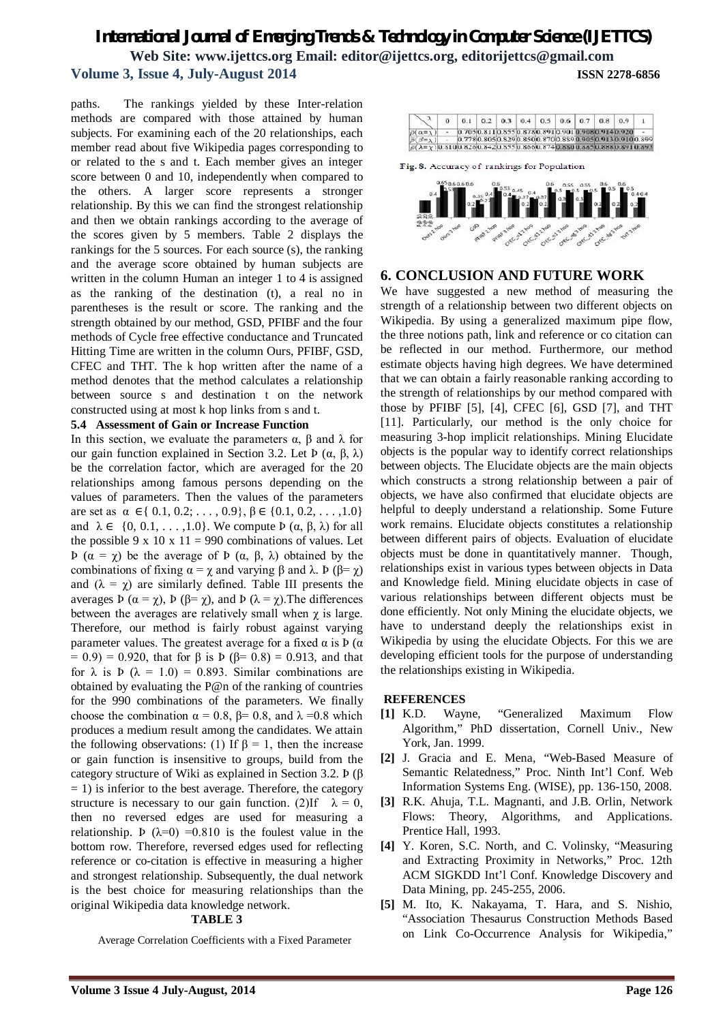paths. The rankings yielded by these Inter-relation methods are compared with those attained by human subjects. For examining each of the 20 relationships, each member read about five Wikipedia pages corresponding to or related to the s and t. Each member gives an integer score between 0 and 10, independently when compared to the others. A larger score represents a stronger relationship. By this we can find the strongest relationship and then we obtain rankings according to the average of the scores given by 5 members. Table 2 displays the rankings for the 5 sources. For each source (s), the ranking and the average score obtained by human subjects are written in the column Human an integer 1 to 4 is assigned as the ranking of the destination (t), a real no in parentheses is the result or score. The ranking and the strength obtained by our method, GSD, PFIBF and the four methods of Cycle free effective conductance and Truncated Hitting Time are written in the column Ours, PFIBF, GSD, CFEC and THT. The k hop written after the name of a method denotes that the method calculates a relationship between source s and destination t on the network constructed using at most k hop links from s and t.

#### **5.4 Assessment of Gain or Increase Function**

In this section, we evaluate the parameters  $\alpha$ , β and λ for our gain function explained in Section 3.2. Let  $\Phi$  (α,  $\beta$ , λ) be the correlation factor, which are averaged for the 20 relationships among famous persons depending on the values of parameters. Then the values of the parameters are set as  $\alpha \in \{ 0.1, 0.2, \ldots, 0.9 \}, \beta \in \{0.1, 0.2, \ldots, 1.0 \}$ and  $\lambda \in \{0, 0.1, \ldots, 1.0\}$ . We compute  $\Phi(\alpha, \beta, \lambda)$  for all the possible 9 x 10 x 11 = 990 combinations of values. Let Þ (α = χ) be the average of Þ (α, β, λ) obtained by the combinations of fixing  $\alpha = \chi$  and varying β and λ. Þ (β=  $\chi$ ) and  $(\lambda = \chi)$  are similarly defined. Table III presents the averages Þ ( $\alpha = \chi$ ), Þ (β=  $\chi$ ), and Þ (λ =  $\chi$ ). The differences between the averages are relatively small when  $\chi$  is large. Therefore, our method is fairly robust against varying parameter values. The greatest average for a fixed  $α$  is  $Þ (α)$  $= 0.9$ ) = 0.920, that for β is Þ (β= 0.8) = 0.913, and that for  $\lambda$  is  $\dot{P}$  ( $\lambda = 1.0$ ) = 0.893. Similar combinations are obtained by evaluating the P@n of the ranking of countries for the 990 combinations of the parameters. We finally choose the combination  $\alpha = 0.8$ ,  $\beta = 0.8$ , and  $\lambda = 0.8$  which produces a medium result among the candidates. We attain the following observations: (1) If  $\beta = 1$ , then the increase or gain function is insensitive to groups, build from the category structure of Wiki as explained in Section 3.2. Þ (β  $= 1$ ) is inferior to the best average. Therefore, the category structure is necessary to our gain function. (2)If  $\lambda = 0$ , then no reversed edges are used for measuring a relationship. Þ ( $\lambda=0$ ) =0.810 is the foulest value in the bottom row. Therefore, reversed edges used for reflecting reference or co-citation is effective in measuring a higher and strongest relationship. Subsequently, the dual network is the best choice for measuring relationships than the original Wikipedia data knowledge network.

### **TABLE 3**

Average Correlation Coefficients with a Fixed Parameter

|                                                                                  |  |  | $0.1$ 0.2 0.3 0.4 0.5 0.6 0.7 0.8 0.9 |  |                                                       |  |
|----------------------------------------------------------------------------------|--|--|---------------------------------------|--|-------------------------------------------------------|--|
| $\overline{\rho}(\alpha = \overline{\lambda})$                                   |  |  |                                       |  | 0.705 0.811 0.855 0.878 0.891 0.901 0.908 0.914 0.920 |  |
| $\overline{D}$ $\overline{S}$ = $\overline{Y}$                                   |  |  |                                       |  | 0.7780.8050.8290.8500.8700.8890.9050.9130.9100.899    |  |
| $\partial (\lambda = x)$ 0.8100.8260.8420.8550.8660.8740.8800.8850.8880.8910.893 |  |  |                                       |  |                                                       |  |

Fig. 8. Accuracy of rankings for Population



### **6. CONCLUSION AND FUTURE WORK**

We have suggested a new method of measuring the strength of a relationship between two different objects on Wikipedia. By using a generalized maximum pipe flow, the three notions path, link and reference or co citation can be reflected in our method. Furthermore, our method estimate objects having high degrees. We have determined that we can obtain a fairly reasonable ranking according to the strength of relationships by our method compared with those by PFIBF [5], [4], CFEC [6], GSD [7], and THT [11]. Particularly, our method is the only choice for measuring 3-hop implicit relationships. Mining Elucidate objects is the popular way to identify correct relationships between objects. The Elucidate objects are the main objects which constructs a strong relationship between a pair of objects, we have also confirmed that elucidate objects are helpful to deeply understand a relationship. Some Future work remains. Elucidate objects constitutes a relationship between different pairs of objects. Evaluation of elucidate objects must be done in quantitatively manner. Though, relationships exist in various types between objects in Data and Knowledge field. Mining elucidate objects in case of various relationships between different objects must be done efficiently. Not only Mining the elucidate objects, we have to understand deeply the relationships exist in Wikipedia by using the elucidate Objects. For this we are developing efficient tools for the purpose of understanding the relationships existing in Wikipedia.

#### **REFERENCES**

- **[1]** K.D. Wayne, "Generalized Maximum Flow Algorithm," PhD dissertation, Cornell Univ., New York, Jan. 1999.
- **[2]** J. Gracia and E. Mena, "Web-Based Measure of Semantic Relatedness," Proc. Ninth Int'l Conf. Web Information Systems Eng. (WISE), pp. 136-150, 2008.
- **[3]** R.K. Ahuja, T.L. Magnanti, and J.B. Orlin, Network Flows: Theory, Algorithms, and Applications. Prentice Hall, 1993.
- **[4]** Y. Koren, S.C. North, and C. Volinsky, "Measuring and Extracting Proximity in Networks," Proc. 12th ACM SIGKDD Int'l Conf. Knowledge Discovery and Data Mining, pp. 245-255, 2006.
- **[5]** M. Ito, K. Nakayama, T. Hara, and S. Nishio, "Association Thesaurus Construction Methods Based on Link Co-Occurrence Analysis for Wikipedia,"